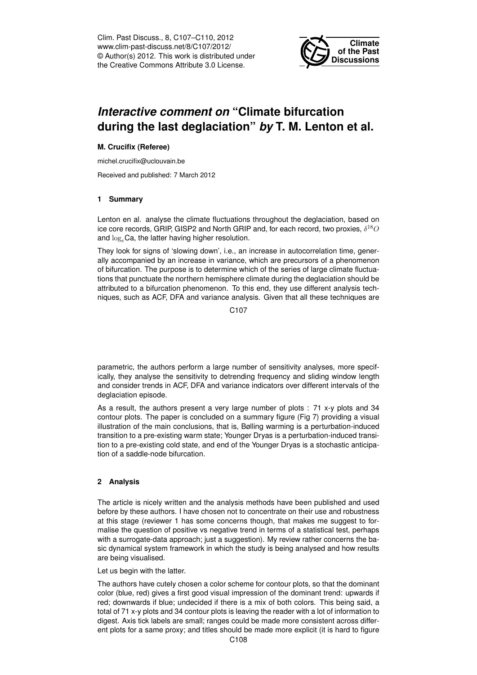Clim. Past Discuss., 8, C107–C110, 2012 www.clim-past-discuss.net/8/C107/2012/ © Author(s) 2012. This work is distributed under the Creative Commons Attribute 3.0 License.



# *Interactive comment on* **"Climate bifurcation during the last deglaciation"** *by* **T. M. Lenton et al.**

#### **M. Crucifix (Referee)**

michel.crucifix@uclouvain.be

Received and published: 7 March 2012

#### **1 Summary**

Lenton en al. analyse the climate fluctuations throughout the deglaciation, based on ice core records, GRIP, GISP2 and North GRIP and, for each record, two proxies,  $\delta^{18}O$ and  $\log_e$ Ca, the latter having higher resolution.

They look for signs of 'slowing down', i.e., an increase in autocorrelation time, generally accompanied by an increase in variance, which are precursors of a phenomenon of bifurcation. The purpose is to determine which of the series of large climate fluctuations that punctuate the northern hemisphere climate during the deglaciation should be attributed to a bifurcation phenomenon. To this end, they use different analysis techniques, such as ACF, DFA and variance analysis. Given that all these techniques are

C107

parametric, the authors perform a large number of sensitivity analyses, more specifically, they analyse the sensitivity to detrending frequency and sliding window length and consider trends in ACF, DFA and variance indicators over different intervals of the deglaciation episode.

As a result, the authors present a very large number of plots : 71 x-y plots and 34 contour plots. The paper is concluded on a summary figure (Fig 7) providing a visual illustration of the main conclusions, that is, Bølling warming is a perturbation-induced transition to a pre-existing warm state; Younger Dryas is a perturbation-induced transition to a pre-existing cold state, and end of the Younger Dryas is a stochastic anticipation of a saddle-node bifurcation.

### **2 Analysis**

The article is nicely written and the analysis methods have been published and used before by these authors. I have chosen not to concentrate on their use and robustness at this stage (reviewer 1 has some concerns though, that makes me suggest to formalise the question of positive vs negative trend in terms of a statistical test, perhaps with a surrogate-data approach; just a suggestion). My review rather concerns the basic dynamical system framework in which the study is being analysed and how results are being visualised.

Let us begin with the latter.

The authors have cutely chosen a color scheme for contour plots, so that the dominant color (blue, red) gives a first good visual impression of the dominant trend: upwards if red; downwards if blue; undecided if there is a mix of both colors. This being said, a total of 71 x-y plots and 34 contour plots is leaving the reader with a lot of information to digest. Axis tick labels are small; ranges could be made more consistent across different plots for a same proxy; and titles should be made more explicit (it is hard to figure